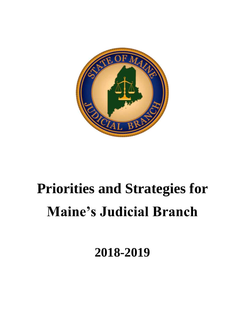

# **Priorities and Strategies for Maine's Judicial Branch**

**2018-2019**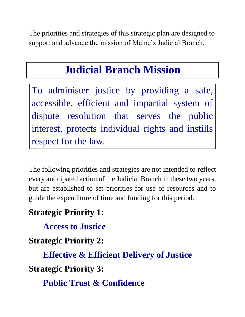The priorities and strategies of this strategic plan are designed to support and advance the mission of Maine's Judicial Branch.

## **Judicial Branch Mission**

To administer justice by providing a safe, accessible, efficient and impartial system of dispute resolution that serves the public interest, protects individual rights and instills respect for the law.

The following priorities and strategies are not intended to reflect every anticipated action of the Judicial Branch in these two years, but are established to set priorities for use of resources and to guide the expenditure of time and funding for this period.

### **Strategic Priority 1:**

**Access to Justice**

### **Strategic Priority 2:**

**Effective & Efficient Delivery of Justice Strategic Priority 3:** 

**Public Trust & Confidence**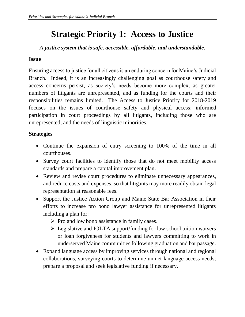### **Strategic Priority 1: Access to Justice**

*A justice system that is safe, accessible, affordable, and understandable.*

### **Issue**

Ensuring access to justice for all citizens is an enduring concern for Maine's Judicial Branch. Indeed, it is an increasingly challenging goal as courthouse safety and access concerns persist, as society's needs become more complex, as greater numbers of litigants are unrepresented, and as funding for the courts and their responsibilities remains limited. The Access to Justice Priority for 2018-2019 focuses on the issues of courthouse safety and physical access; informed participation in court proceedings by all litigants, including those who are unrepresented; and the needs of linguistic minorities.

#### **Strategies**

- Continue the expansion of entry screening to 100% of the time in all courthouses.
- Survey court facilities to identify those that do not meet mobility access standards and prepare a capital improvement plan.
- Review and revise court procedures to eliminate unnecessary appearances, and reduce costs and expenses, so that litigants may more readily obtain legal representation at reasonable fees.
- Support the Justice Action Group and Maine State Bar Association in their efforts to increase pro bono lawyer assistance for unrepresented litigants including a plan for:
	- $\triangleright$  Pro and low bono assistance in family cases.
	- ➢ Legislative and IOLTA support/funding for law school tuition waivers or loan forgiveness for students and lawyers committing to work in underserved Maine communities following graduation and bar passage.
- Expand language access by improving services through national and regional collaborations, surveying courts to determine unmet language access needs; prepare a proposal and seek legislative funding if necessary.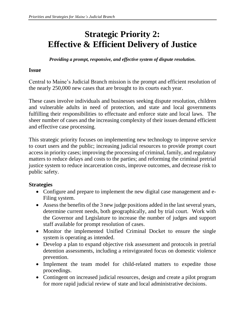### **Strategic Priority 2: Effective & Efficient Delivery of Justice**

*Providing a prompt, responsive, and effective system of dispute resolution.*

#### **Issue**

Central to Maine's Judicial Branch mission is the prompt and efficient resolution of the nearly 250,000 new cases that are brought to its courts each year.

These cases involve individuals and businesses seeking dispute resolution, children and vulnerable adults in need of protection, and state and local governments fulfilling their responsibilities to effectuate and enforce state and local laws. The sheer number of cases and the increasing complexity of their issues demand efficient and effective case processing.

This strategic priority focuses on implementing new technology to improve service to court users and the public; increasing judicial resources to provide prompt court access in priority cases; improving the processing of criminal, family, and regulatory matters to reduce delays and costs to the parties; and reforming the criminal pretrial justice system to reduce incarceration costs, improve outcomes, and decrease risk to public safety.

#### **Strategies**

- Configure and prepare to implement the new digital case management and e-Filing system.
- Assess the benefits of the 3 new judge positions added in the last several years, determine current needs, both geographically, and by trial court. Work with the Governor and Legislature to increase the number of judges and support staff available for prompt resolution of cases.
- Monitor the implemented Unified Criminal Docket to ensure the single system is operating as intended.
- Develop a plan to expand objective risk assessment and protocols in pretrial detention assessments, including a reinvigorated focus on domestic violence prevention.
- Implement the team model for child-related matters to expedite those proceedings.
- Contingent on increased judicial resources, design and create a pilot program for more rapid judicial review of state and local administrative decisions.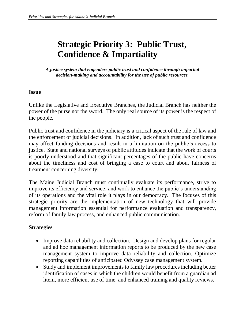### **Strategic Priority 3: Public Trust, Confidence & Impartiality**

*A justice system that engenders public trust and confidence through impartial decision-making and accountability for the use of public resources.*

#### **Issue**

Unlike the Legislative and Executive Branches, the Judicial Branch has neither the power of the purse nor the sword. The only real source of its power is the respect of the people.

Public trust and confidence in the judiciary is a critical aspect of the rule of law and the enforcement of judicial decisions. In addition, lack of such trust and confidence may affect funding decisions and result in a limitation on the public's access to justice. State and national surveys of public attitudes indicate that the work of courts is poorly understood and that significant percentages of the public have concerns about the timeliness and cost of bringing a case to court and about fairness of treatment concerning diversity.

The Maine Judicial Branch must continually evaluate its performance, strive to improve its efficiency and service, and work to enhance the public's understanding of its operations and the vital role it plays in our democracy. The focuses of this strategic priority are the implementation of new technology that will provide management information essential for performance evaluation and transparency, reform of family law process, and enhanced public communication.

### **Strategies**

- Improve data reliability and collection. Design and develop plans for regular and ad hoc management information reports to be produced by the new case management system to improve data reliability and collection. Optimize reporting capabilities of anticipated Odyssey case management system.
- Study and implement improvements to family law procedures including better identification of cases in which the children would benefit from a guardian ad litem, more efficient use of time, and enhanced training and quality reviews.